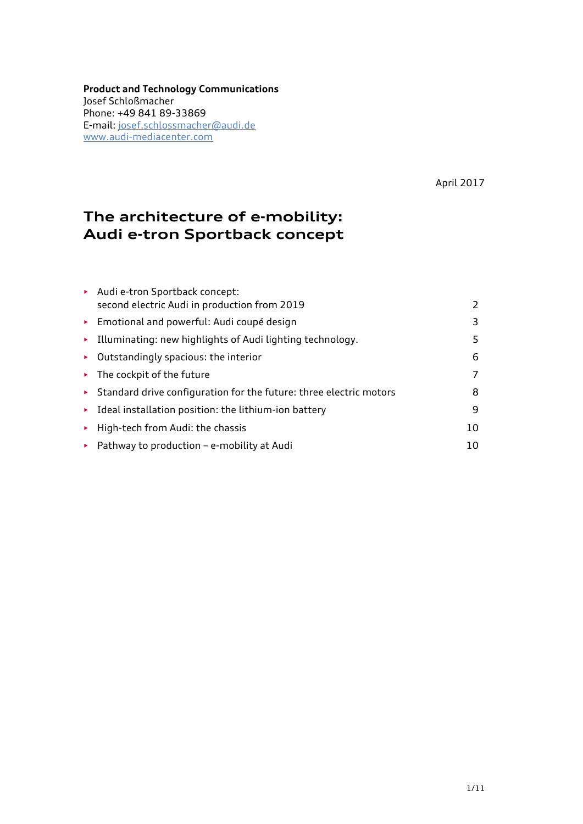**Product and Technology Communications** Josef Schloßmacher Phone: +49 841 89-33869 E-mail: [josef.schlossmacher@audi.de](mailto:josef.schlossmacher@audi.de) [www.audi-mediacenter.com](http://www.audi-mediacenter.com/en)

April 2017

# **The architecture of e-mobility: Audi e-tron Sportback concept**

| Audi e-tron Sportback concept:                                           |    |
|--------------------------------------------------------------------------|----|
| second electric Audi in production from 2019                             | 2  |
| Emotional and powerful: Audi coupé design                                | 3  |
| Illuminating: new highlights of Audi lighting technology.<br>×.          | 5. |
| $\triangleright$ Outstandingly spacious: the interior                    | 6  |
| $\triangleright$ The cockpit of the future                               | 7  |
| Standard drive configuration for the future: three electric motors<br>×. | 8  |
| Ideal installation position: the lithium-ion battery<br>×.               | 9  |
| High-tech from Audi: the chassis<br>×.                                   | 10 |
| Pathway to production - e-mobility at Audi<br>×.                         | 10 |
|                                                                          |    |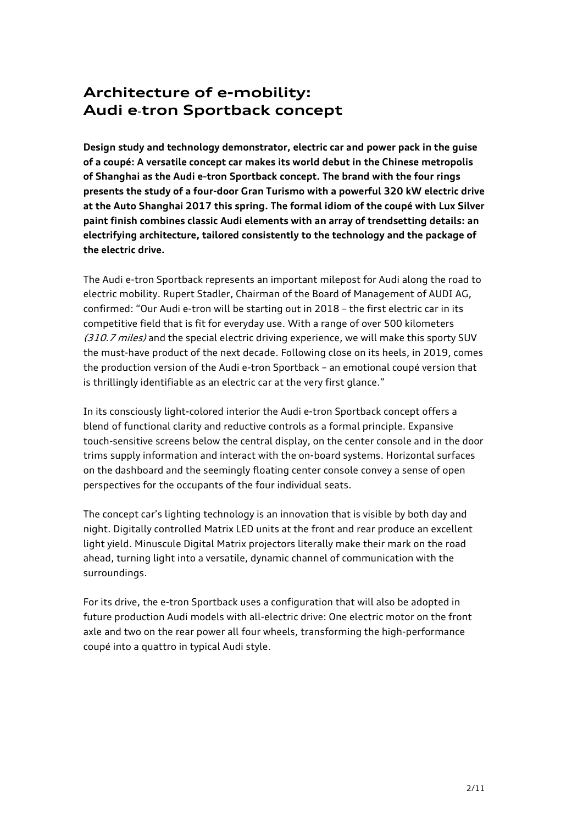# **Architecture of e-mobility: Audi e**-**tron Sportback concept**

**Design study and technology demonstrator, electric car and power pack in the guise of a coupé: A versatile concept car makes its world debut in the Chinese metropolis of Shanghai as the Audi e**-**tron Sportback concept. The brand with the four rings presents the study of a four-door Gran Turismo with a powerful 320 kW electric drive at the Auto Shanghai 2017 this spring. The formal idiom of the coupé with Lux Silver paint finish combines classic Audi elements with an array of trendsetting details: an electrifying architecture, tailored consistently to the technology and the package of the electric drive.**

The Audi e-tron Sportback represents an important milepost for Audi along the road to electric mobility. Rupert Stadler, Chairman of the Board of Management of AUDI AG, confirmed: "Our Audi e-tron will be starting out in 2018 – the first electric car in its competitive field that is fit for everyday use. With a range of over 500 kilometers (310.7 miles) and the special electric driving experience, we will make this sporty SUV the must-have product of the next decade. Following close on its heels, in 2019, comes the production version of the Audi e-tron Sportback – an emotional coupé version that is thrillingly identifiable as an electric car at the very first glance."

In its consciously light-colored interior the Audi e-tron Sportback concept offers a blend of functional clarity and reductive controls as a formal principle. Expansive touch-sensitive screens below the central display, on the center console and in the door trims supply information and interact with the on-board systems. Horizontal surfaces on the dashboard and the seemingly floating center console convey a sense of open perspectives for the occupants of the four individual seats.

The concept car's lighting technology is an innovation that is visible by both day and night. Digitally controlled Matrix LED units at the front and rear produce an excellent light yield. Minuscule Digital Matrix projectors literally make their mark on the road ahead, turning light into a versatile, dynamic channel of communication with the surroundings.

For its drive, the e-tron Sportback uses a configuration that will also be adopted in future production Audi models with all-electric drive: One electric motor on the front axle and two on the rear power all four wheels, transforming the high-performance coupé into a quattro in typical Audi style.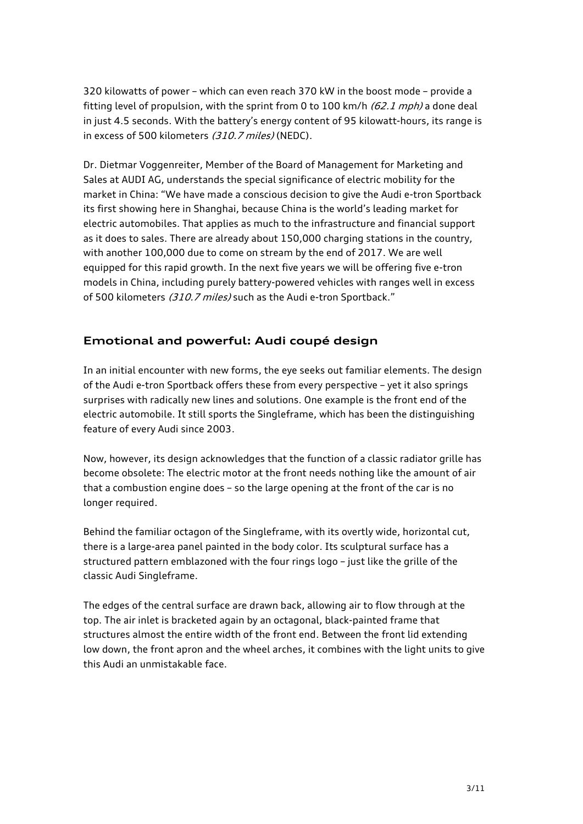320 kilowatts of power – which can even reach 370 kW in the boost mode – provide a fitting level of propulsion, with the sprint from 0 to 100 km/h  $(62.1$  mph) a done deal in just 4.5 seconds. With the battery's energy content of 95 kilowatt-hours, its range is in excess of 500 kilometers (310.7 miles) (NEDC).

Dr. Dietmar Voggenreiter, Member of the Board of Management for Marketing and Sales at AUDI AG, understands the special significance of electric mobility for the market in China: "We have made a conscious decision to give the Audi e-tron Sportback its first showing here in Shanghai, because China is the world's leading market for electric automobiles. That applies as much to the infrastructure and financial support as it does to sales. There are already about 150,000 charging stations in the country, with another 100,000 due to come on stream by the end of 2017. We are well equipped for this rapid growth. In the next five years we will be offering five e-tron models in China, including purely battery-powered vehicles with ranges well in excess of 500 kilometers (310.7 miles) such as the Audi e-tron Sportback."

### **Emotional and powerful: Audi coupé design**

In an initial encounter with new forms, the eye seeks out familiar elements. The design of the Audi e-tron Sportback offers these from every perspective – yet it also springs surprises with radically new lines and solutions. One example is the front end of the electric automobile. It still sports the Singleframe, which has been the distinguishing feature of every Audi since 2003.

Now, however, its design acknowledges that the function of a classic radiator grille has become obsolete: The electric motor at the front needs nothing like the amount of air that a combustion engine does – so the large opening at the front of the car is no longer required.

Behind the familiar octagon of the Singleframe, with its overtly wide, horizontal cut, there is a large-area panel painted in the body color. Its sculptural surface has a structured pattern emblazoned with the four rings logo – just like the grille of the classic Audi Singleframe.

The edges of the central surface are drawn back, allowing air to flow through at the top. The air inlet is bracketed again by an octagonal, black-painted frame that structures almost the entire width of the front end. Between the front lid extending low down, the front apron and the wheel arches, it combines with the light units to give this Audi an unmistakable face.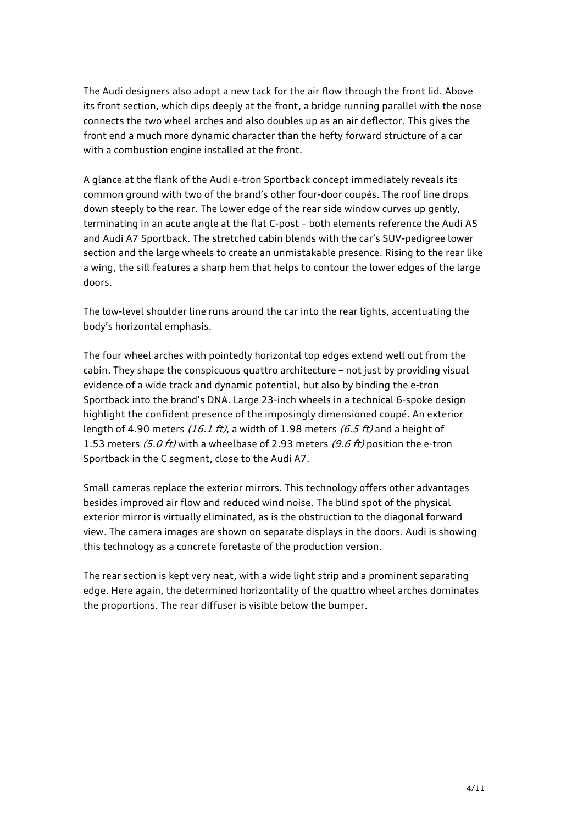The Audi designers also adopt a new tack for the air flow through the front lid. Above its front section, which dips deeply at the front, a bridge running parallel with the nose connects the two wheel arches and also doubles up as an air deflector. This gives the front end a much more dynamic character than the hefty forward structure of a car with a combustion engine installed at the front.

A glance at the flank of the Audi e-tron Sportback concept immediately reveals its common ground with two of the brand's other four-door coupés. The roof line drops down steeply to the rear. The lower edge of the rear side window curves up gently, terminating in an acute angle at the flat C-post – both elements reference the Audi A5 and Audi A7 Sportback. The stretched cabin blends with the car's SUV-pedigree lower section and the large wheels to create an unmistakable presence. Rising to the rear like a wing, the sill features a sharp hem that helps to contour the lower edges of the large doors.

The low-level shoulder line runs around the car into the rear lights, accentuating the body's horizontal emphasis.

The four wheel arches with pointedly horizontal top edges extend well out from the cabin. They shape the conspicuous quattro architecture – not just by providing visual evidence of a wide track and dynamic potential, but also by binding the e-tron Sportback into the brand's DNA. Large 23-inch wheels in a technical 6-spoke design highlight the confident presence of the imposingly dimensioned coupé. An exterior length of 4.90 meters (16.1 ft), a width of 1.98 meters (6.5 ft) and a height of 1.53 meters (5.0 ft) with a wheelbase of 2.93 meters (9.6 ft) position the e-tron Sportback in the C segment, close to the Audi A7.

Small cameras replace the exterior mirrors. This technology offers other advantages besides improved air flow and reduced wind noise. The blind spot of the physical exterior mirror is virtually eliminated, as is the obstruction to the diagonal forward view. The camera images are shown on separate displays in the doors. Audi is showing this technology as a concrete foretaste of the production version.

The rear section is kept very neat, with a wide light strip and a prominent separating edge. Here again, the determined horizontality of the quattro wheel arches dominates the proportions. The rear diffuser is visible below the bumper.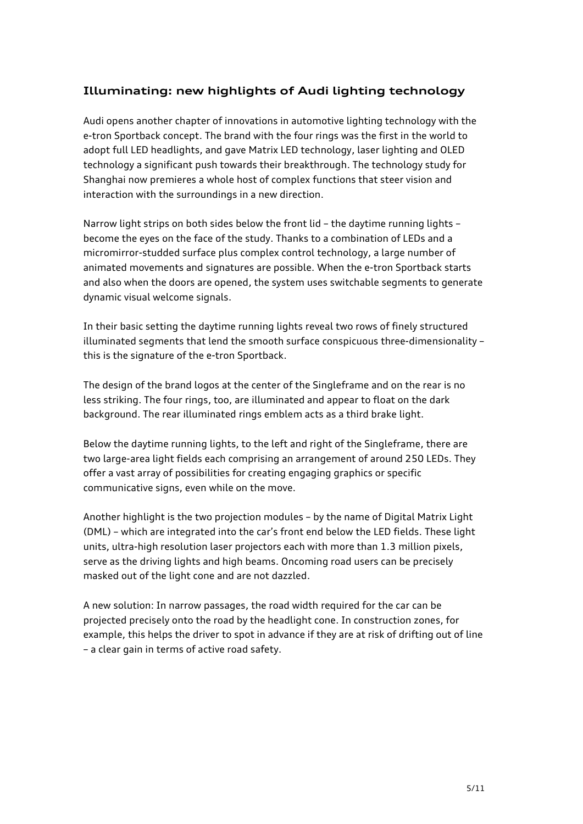## **Illuminating: new highlights of Audi lighting technology**

Audi opens another chapter of innovations in automotive lighting technology with the e-tron Sportback concept. The brand with the four rings was the first in the world to adopt full LED headlights, and gave Matrix LED technology, laser lighting and OLED technology a significant push towards their breakthrough. The technology study for Shanghai now premieres a whole host of complex functions that steer vision and interaction with the surroundings in a new direction.

Narrow light strips on both sides below the front lid – the daytime running lights – become the eyes on the face of the study. Thanks to a combination of LEDs and a micromirror-studded surface plus complex control technology, a large number of animated movements and signatures are possible. When the e-tron Sportback starts and also when the doors are opened, the system uses switchable segments to generate dynamic visual welcome signals.

In their basic setting the daytime running lights reveal two rows of finely structured illuminated segments that lend the smooth surface conspicuous three-dimensionality – this is the signature of the e-tron Sportback.

The design of the brand logos at the center of the Singleframe and on the rear is no less striking. The four rings, too, are illuminated and appear to float on the dark background. The rear illuminated rings emblem acts as a third brake light.

Below the daytime running lights, to the left and right of the Singleframe, there are two large-area light fields each comprising an arrangement of around 250 LEDs. They offer a vast array of possibilities for creating engaging graphics or specific communicative signs, even while on the move.

Another highlight is the two projection modules – by the name of Digital Matrix Light (DML) – which are integrated into the car's front end below the LED fields. These light units, ultra-high resolution laser projectors each with more than 1.3 million pixels, serve as the driving lights and high beams. Oncoming road users can be precisely masked out of the light cone and are not dazzled.

A new solution: In narrow passages, the road width required for the car can be projected precisely onto the road by the headlight cone. In construction zones, for example, this helps the driver to spot in advance if they are at risk of drifting out of line – a clear gain in terms of active road safety.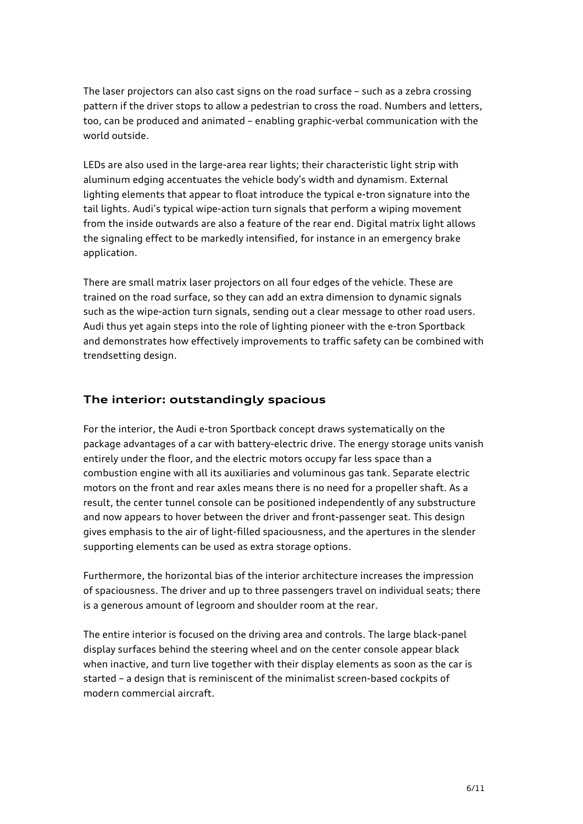The laser projectors can also cast signs on the road surface – such as a zebra crossing pattern if the driver stops to allow a pedestrian to cross the road. Numbers and letters, too, can be produced and animated – enabling graphic-verbal communication with the world outside.

LEDs are also used in the large-area rear lights; their characteristic light strip with aluminum edging accentuates the vehicle body's width and dynamism. External lighting elements that appear to float introduce the typical e-tron signature into the tail lights. Audi's typical wipe-action turn signals that perform a wiping movement from the inside outwards are also a feature of the rear end. Digital matrix light allows the signaling effect to be markedly intensified, for instance in an emergency brake application.

There are small matrix laser projectors on all four edges of the vehicle. These are trained on the road surface, so they can add an extra dimension to dynamic signals such as the wipe-action turn signals, sending out a clear message to other road users. Audi thus yet again steps into the role of lighting pioneer with the e-tron Sportback and demonstrates how effectively improvements to traffic safety can be combined with trendsetting design.

#### **The interior: outstandingly spacious**

For the interior, the Audi e-tron Sportback concept draws systematically on the package advantages of a car with battery-electric drive. The energy storage units vanish entirely under the floor, and the electric motors occupy far less space than a combustion engine with all its auxiliaries and voluminous gas tank. Separate electric motors on the front and rear axles means there is no need for a propeller shaft. As a result, the center tunnel console can be positioned independently of any substructure and now appears to hover between the driver and front-passenger seat. This design gives emphasis to the air of light-filled spaciousness, and the apertures in the slender supporting elements can be used as extra storage options.

Furthermore, the horizontal bias of the interior architecture increases the impression of spaciousness. The driver and up to three passengers travel on individual seats; there is a generous amount of legroom and shoulder room at the rear.

The entire interior is focused on the driving area and controls. The large black-panel display surfaces behind the steering wheel and on the center console appear black when inactive, and turn live together with their display elements as soon as the car is started – a design that is reminiscent of the minimalist screen-based cockpits of modern commercial aircraft.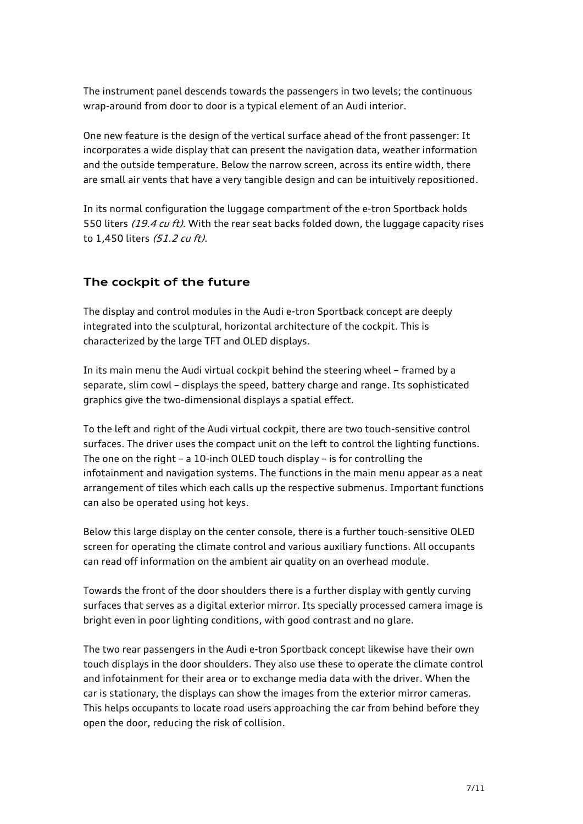The instrument panel descends towards the passengers in two levels; the continuous wrap-around from door to door is a typical element of an Audi interior.

One new feature is the design of the vertical surface ahead of the front passenger: It incorporates a wide display that can present the navigation data, weather information and the outside temperature. Below the narrow screen, across its entire width, there are small air vents that have a very tangible design and can be intuitively repositioned.

In its normal configuration the luggage compartment of the e-tron Sportback holds 550 liters (19.4 cu ft). With the rear seat backs folded down, the luggage capacity rises to 1,450 liters (51.2 cu ft).

### **The cockpit of the future**

The display and control modules in the Audi e-tron Sportback concept are deeply integrated into the sculptural, horizontal architecture of the cockpit. This is characterized by the large TFT and OLED displays.

In its main menu the Audi virtual cockpit behind the steering wheel – framed by a separate, slim cowl – displays the speed, battery charge and range. Its sophisticated graphics give the two-dimensional displays a spatial effect.

To the left and right of the Audi virtual cockpit, there are two touch-sensitive control surfaces. The driver uses the compact unit on the left to control the lighting functions. The one on the right – a 10-inch OLED touch display – is for controlling the infotainment and navigation systems. The functions in the main menu appear as a neat arrangement of tiles which each calls up the respective submenus. Important functions can also be operated using hot keys.

Below this large display on the center console, there is a further touch-sensitive OLED screen for operating the climate control and various auxiliary functions. All occupants can read off information on the ambient air quality on an overhead module.

Towards the front of the door shoulders there is a further display with gently curving surfaces that serves as a digital exterior mirror. Its specially processed camera image is bright even in poor lighting conditions, with good contrast and no glare.

The two rear passengers in the Audi e-tron Sportback concept likewise have their own touch displays in the door shoulders. They also use these to operate the climate control and infotainment for their area or to exchange media data with the driver. When the car is stationary, the displays can show the images from the exterior mirror cameras. This helps occupants to locate road users approaching the car from behind before they open the door, reducing the risk of collision.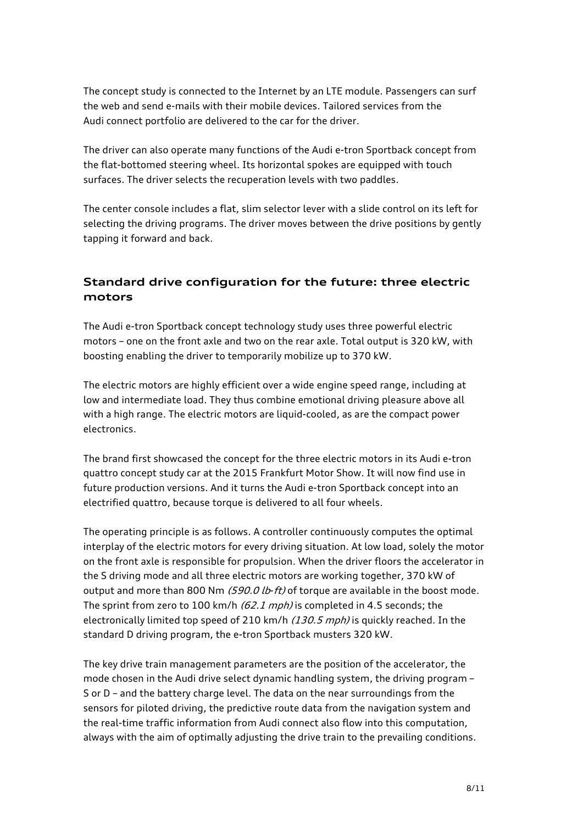The concept study is connected to the Internet by an LTE module. Passengers can surf the web and send e-mails with their mobile devices. Tailored services from the Audi connect portfolio are delivered to the car for the driver.

The driver can also operate many functions of the Audi e-tron Sportback concept from the flat-bottomed steering wheel. Its horizontal spokes are equipped with touch surfaces. The driver selects the recuperation levels with two paddles.

The center console includes a flat, slim selector lever with a slide control on its left for selecting the driving programs. The driver moves between the drive positions by gently tapping it forward and back.

## **Standard drive configuration for the future: three electric motors**

The Audi e-tron Sportback concept technology study uses three powerful electric motors – one on the front axle and two on the rear axle. Total output is 320 kW, with boosting enabling the driver to temporarily mobilize up to 370 kW.

The electric motors are highly efficient over a wide engine speed range, including at low and intermediate load. They thus combine emotional driving pleasure above all with a high range. The electric motors are liquid-cooled, as are the compact power electronics.

The brand first showcased the concept for the three electric motors in its Audi e-tron quattro concept study car at the 2015 Frankfurt Motor Show. It will now find use in future production versions. And it turns the Audi e-tron Sportback concept into an electrified quattro, because torque is delivered to all four wheels.

The operating principle is as follows. A controller continuously computes the optimal interplay of the electric motors for every driving situation. At low load, solely the motor on the front axle is responsible for propulsion. When the driver floors the accelerator in the S driving mode and all three electric motors are working together, 370 kW of output and more than 800 Nm  $(590.0$  lb-ft) of torque are available in the boost mode. The sprint from zero to 100 km/h  $(62.1$  mph) is completed in 4.5 seconds; the electronically limited top speed of 210 km/h (130.5 mph) is quickly reached. In the standard D driving program, the e-tron Sportback musters 320 kW.

The key drive train management parameters are the position of the accelerator, the mode chosen in the Audi drive select dynamic handling system, the driving program – S or D – and the battery charge level. The data on the near surroundings from the sensors for piloted driving, the predictive route data from the navigation system and the real-time traffic information from Audi connect also flow into this computation, always with the aim of optimally adjusting the drive train to the prevailing conditions.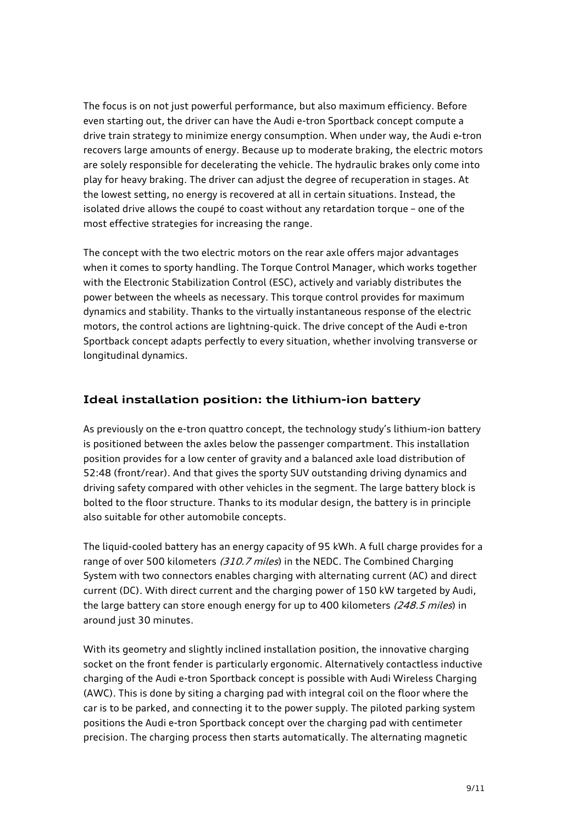The focus is on not just powerful performance, but also maximum efficiency. Before even starting out, the driver can have the Audi e-tron Sportback concept compute a drive train strategy to minimize energy consumption. When under way, the Audi e-tron recovers large amounts of energy. Because up to moderate braking, the electric motors are solely responsible for decelerating the vehicle. The hydraulic brakes only come into play for heavy braking. The driver can adjust the degree of recuperation in stages. At the lowest setting, no energy is recovered at all in certain situations. Instead, the isolated drive allows the coupé to coast without any retardation torque – one of the most effective strategies for increasing the range.

The concept with the two electric motors on the rear axle offers major advantages when it comes to sporty handling. The Torque Control Manager, which works together with the Electronic Stabilization Control (ESC), actively and variably distributes the power between the wheels as necessary. This torque control provides for maximum dynamics and stability. Thanks to the virtually instantaneous response of the electric motors, the control actions are lightning-quick. The drive concept of the Audi e-tron Sportback concept adapts perfectly to every situation, whether involving transverse or longitudinal dynamics.

#### **Ideal installation position: the lithium-ion battery**

As previously on the e-tron quattro concept, the technology study's lithium-ion battery is positioned between the axles below the passenger compartment. This installation position provides for a low center of gravity and a balanced axle load distribution of 52:48 (front/rear). And that gives the sporty SUV outstanding driving dynamics and driving safety compared with other vehicles in the segment. The large battery block is bolted to the floor structure. Thanks to its modular design, the battery is in principle also suitable for other automobile concepts.

The liquid-cooled battery has an energy capacity of 95 kWh. A full charge provides for a range of over 500 kilometers (310.7 miles) in the NEDC. The Combined Charging System with two connectors enables charging with alternating current (AC) and direct current (DC). With direct current and the charging power of 150 kW targeted by Audi, the large battery can store enough energy for up to 400 kilometers (248.5 miles) in around just 30 minutes.

With its geometry and slightly inclined installation position, the innovative charging socket on the front fender is particularly ergonomic. Alternatively contactless inductive charging of the Audi e-tron Sportback concept is possible with Audi Wireless Charging (AWC). This is done by siting a charging pad with integral coil on the floor where the car is to be parked, and connecting it to the power supply. The piloted parking system positions the Audi e-tron Sportback concept over the charging pad with centimeter precision. The charging process then starts automatically. The alternating magnetic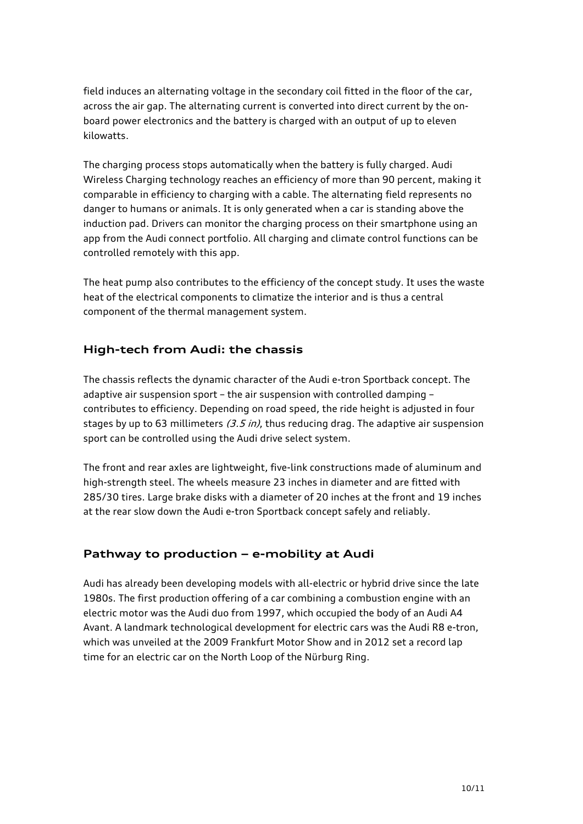field induces an alternating voltage in the secondary coil fitted in the floor of the car, across the air gap. The alternating current is converted into direct current by the onboard power electronics and the battery is charged with an output of up to eleven kilowatts.

The charging process stops automatically when the battery is fully charged. Audi Wireless Charging technology reaches an efficiency of more than 90 percent, making it comparable in efficiency to charging with a cable. The alternating field represents no danger to humans or animals. It is only generated when a car is standing above the induction pad. Drivers can monitor the charging process on their smartphone using an app from the Audi connect portfolio. All charging and climate control functions can be controlled remotely with this app.

The heat pump also contributes to the efficiency of the concept study. It uses the waste heat of the electrical components to climatize the interior and is thus a central component of the thermal management system.

### **High-tech from Audi: the chassis**

The chassis reflects the dynamic character of the Audi e-tron Sportback concept. The adaptive air suspension sport – the air suspension with controlled damping – contributes to efficiency. Depending on road speed, the ride height is adjusted in four stages by up to 63 millimeters  $(3.5 \text{ in})$ , thus reducing drag. The adaptive air suspension sport can be controlled using the Audi drive select system.

The front and rear axles are lightweight, five-link constructions made of aluminum and high-strength steel. The wheels measure 23 inches in diameter and are fitted with 285/30 tires. Large brake disks with a diameter of 20 inches at the front and 19 inches at the rear slow down the Audi e-tron Sportback concept safely and reliably.

#### **Pathway to production – e-mobility at Audi**

Audi has already been developing models with all-electric or hybrid drive since the late 1980s. The first production offering of a car combining a combustion engine with an electric motor was the Audi duo from 1997, which occupied the body of an Audi A4 Avant. A landmark technological development for electric cars was the Audi R8 e-tron, which was unveiled at the 2009 Frankfurt Motor Show and in 2012 set a record lap time for an electric car on the North Loop of the Nürburg Ring.